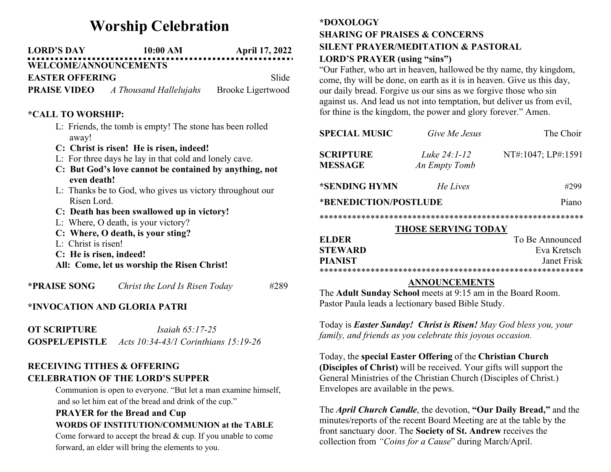# Worship Celebration

| <b>LORD'S DAY</b>            | 10:00 AM | <b>April 17, 2022</b> |
|------------------------------|----------|-----------------------|
| <b>WELCOME/ANNOUNCEMENTS</b> |          |                       |
|                              |          |                       |

EASTER OFFERING Slide

**PRAISE VIDEO** A Thousand Hallelujahs Brooke Ligertwood

### \*CALL TO WORSHIP:

- L: Friends, the tomb is empty! The stone has been rolled away!
- C: Christ is risen! He is risen, indeed!
- L: For three days he lay in that cold and lonely cave.
- C: But God's love cannot be contained by anything, not even death!
- L: Thanks be to God, who gives us victory throughout our Risen Lord.
- C: Death has been swallowed up in victory!
- L: Where, O death, is your victory?
- C: Where, O death, is your sting?
- L: Christ is risen!
- C: He is risen, indeed!
- All: Come, let us worship the Risen Christ!

\***PRAISE SONG** Christ the Lord Is Risen Today  $#289$ 

## \*INVOCATION AND GLORIA PATRI

| <b>OT SCRIPTURE</b>   | <i>Isaiah</i> $65:17-25$             |
|-----------------------|--------------------------------------|
| <b>GOSPEL/EPISTLE</b> | Acts 10:34-43/1 Corinthians 15:19-26 |

### RECEIVING TITHES & OFFERING CELEBRATION OF THE LORD'S SUPPER

Communion is open to everyone. "But let a man examine himself, and so let him eat of the bread and drink of the cup."

# PRAYER for the Bread and Cup WORDS OF INSTITUTION/COMMUNION at the TABLE

Come forward to accept the bread & cup. If you unable to come forward, an elder will bring the elements to you.

## \*DOXOLOGY SHARING OF PRAISES & CONCERNS SILENT PRAYER/MEDITATION & PASTORAL LORD'S PRAYER (using "sins")

"Our Father, who art in heaven, hallowed be thy name, thy kingdom, come, thy will be done, on earth as it is in heaven. Give us this day, our daily bread. Forgive us our sins as we forgive those who sin against us. And lead us not into temptation, but deliver us from evil, for thine is the kingdom, the power and glory forever." Amen.

| <b>SPECIAL MUSIC</b>               | Give Me Jesus                 | The Choir          |  |  |
|------------------------------------|-------------------------------|--------------------|--|--|
| <b>SCRIPTURE</b><br><b>MESSAGE</b> | Luke 24:1-12<br>An Empty Tomb | NT#:1047; LP#:1591 |  |  |
| *SENDING HYMN                      | He Lives                      | #299               |  |  |
| *BENEDICTION/POSTLUDE              |                               | Piano              |  |  |
|                                    |                               |                    |  |  |
| <b>THOSE SERVING TODAY</b>         |                               |                    |  |  |
| <b>ELDER</b>                       |                               | To Be Announced    |  |  |
| <b>STEWARD</b>                     |                               | Eva Kretsch        |  |  |
| <b>PIANIST</b>                     |                               | Janet Frisk        |  |  |
|                                    |                               |                    |  |  |

#### ANNOUNCEMENTS

The Adult Sunday School meets at 9:15 am in the Board Room. Pastor Paula leads a lectionary based Bible Study.

Today is Easter Sunday! Christ is Risen! May God bless you, your family, and friends as you celebrate this joyous occasion.

Today, the special Easter Offering of the Christian Church (Disciples of Christ) will be received. Your gifts will support the General Ministries of the Christian Church (Disciples of Christ.) Envelopes are available in the pews.

The *April Church Candle*, the devotion, "Our Daily Bread," and the minutes/reports of the recent Board Meeting are at the table by the front sanctuary door. The Society of St. Andrew receives the collection from "Coins for a Cause" during March/April.